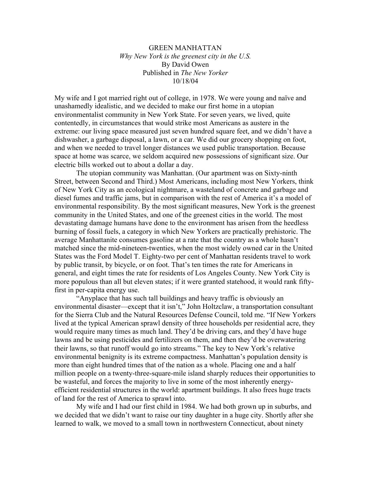GREEN MANHATTAN *Why New York is the greenest city in the U.S.* By David Owen Published in *The New Yorker* 10/18/04

My wife and I got married right out of college, in 1978. We were young and naïve and unashamedly idealistic, and we decided to make our first home in a utopian environmentalist community in New York State. For seven years, we lived, quite contentedly, in circumstances that would strike most Americans as austere in the extreme: our living space measured just seven hundred square feet, and we didn't have a dishwasher, a garbage disposal, a lawn, or a car. We did our grocery shopping on foot, and when we needed to travel longer distances we used public transportation. Because space at home was scarce, we seldom acquired new possessions of significant size. Our electric bills worked out to about a dollar a day.

The utopian community was Manhattan. (Our apartment was on Sixty-ninth Street, between Second and Third.) Most Americans, including most New Yorkers, think of New York City as an ecological nightmare, a wasteland of concrete and garbage and diesel fumes and traffic jams, but in comparison with the rest of America it's a model of environmental responsibility. By the most significant measures, New York is the greenest community in the United States, and one of the greenest cities in the world. The most devastating damage humans have done to the environment has arisen from the heedless burning of fossil fuels, a category in which New Yorkers are practically prehistoric. The average Manhattanite consumes gasoline at a rate that the country as a whole hasn't matched since the mid-nineteen-twenties, when the most widely owned car in the United States was the Ford Model T. Eighty-two per cent of Manhattan residents travel to work by public transit, by bicycle, or on foot. That's ten times the rate for Americans in general, and eight times the rate for residents of Los Angeles County. New York City is more populous than all but eleven states; if it were granted statehood, it would rank fiftyfirst in per-capita energy use.

"Anyplace that has such tall buildings and heavy traffic is obviously an environmental disaster—except that it isn't," John Holtzclaw, a transportation consultant for the Sierra Club and the Natural Resources Defense Council, told me. "If New Yorkers lived at the typical American sprawl density of three households per residential acre, they would require many times as much land. They'd be driving cars, and they'd have huge lawns and be using pesticides and fertilizers on them, and then they'd be overwatering their lawns, so that runoff would go into streams." The key to New York's relative environmental benignity is its extreme compactness. Manhattan's population density is more than eight hundred times that of the nation as a whole. Placing one and a half million people on a twenty-three-square-mile island sharply reduces their opportunities to be wasteful, and forces the majority to live in some of the most inherently energyefficient residential structures in the world: apartment buildings. It also frees huge tracts of land for the rest of America to sprawl into.

My wife and I had our first child in 1984. We had both grown up in suburbs, and we decided that we didn't want to raise our tiny daughter in a huge city. Shortly after she learned to walk, we moved to a small town in northwestern Connecticut, about ninety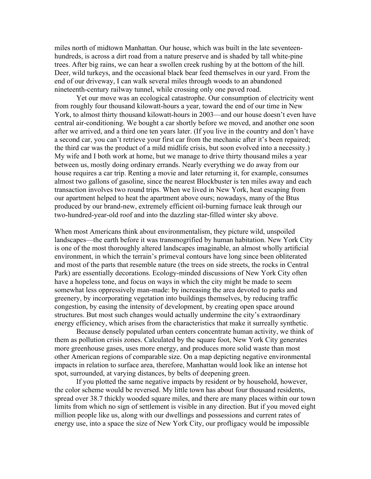miles north of midtown Manhattan. Our house, which was built in the late seventeenhundreds, is across a dirt road from a nature preserve and is shaded by tall white-pine trees. After big rains, we can hear a swollen creek rushing by at the bottom of the hill. Deer, wild turkeys, and the occasional black bear feed themselves in our yard. From the end of our driveway, I can walk several miles through woods to an abandoned nineteenth-century railway tunnel, while crossing only one paved road.

Yet our move was an ecological catastrophe. Our consumption of electricity went from roughly four thousand kilowatt-hours a year, toward the end of our time in New York, to almost thirty thousand kilowatt-hours in 2003—and our house doesn't even have central air-conditioning. We bought a car shortly before we moved, and another one soon after we arrived, and a third one ten years later. (If you live in the country and don't have a second car, you can't retrieve your first car from the mechanic after it's been repaired; the third car was the product of a mild midlife crisis, but soon evolved into a necessity.) My wife and I both work at home, but we manage to drive thirty thousand miles a year between us, mostly doing ordinary errands. Nearly everything we do away from our house requires a car trip. Renting a movie and later returning it, for example, consumes almost two gallons of gasoline, since the nearest Blockbuster is ten miles away and each transaction involves two round trips. When we lived in New York, heat escaping from our apartment helped to heat the apartment above ours; nowadays, many of the Btus produced by our brand-new, extremely efficient oil-burning furnace leak through our two-hundred-year-old roof and into the dazzling star-filled winter sky above.

When most Americans think about environmentalism, they picture wild, unspoiled landscapes—the earth before it was transmogrified by human habitation. New York City is one of the most thoroughly altered landscapes imaginable, an almost wholly artificial environment, in which the terrain's primeval contours have long since been obliterated and most of the parts that resemble nature (the trees on side streets, the rocks in Central Park) are essentially decorations. Ecology-minded discussions of New York City often have a hopeless tone, and focus on ways in which the city might be made to seem somewhat less oppressively man-made: by increasing the area devoted to parks and greenery, by incorporating vegetation into buildings themselves, by reducing traffic congestion, by easing the intensity of development, by creating open space around structures. But most such changes would actually undermine the city's extraordinary energy efficiency, which arises from the characteristics that make it surreally synthetic.

Because densely populated urban centers concentrate human activity, we think of them as pollution crisis zones. Calculated by the square foot, New York City generates more greenhouse gases, uses more energy, and produces more solid waste than most other American regions of comparable size. On a map depicting negative environmental impacts in relation to surface area, therefore, Manhattan would look like an intense hot spot, surrounded, at varying distances, by belts of deepening green.

If you plotted the same negative impacts by resident or by household, however, the color scheme would be reversed. My little town has about four thousand residents, spread over 38.7 thickly wooded square miles, and there are many places within our town limits from which no sign of settlement is visible in any direction. But if you moved eight million people like us, along with our dwellings and possessions and current rates of energy use, into a space the size of New York City, our profligacy would be impossible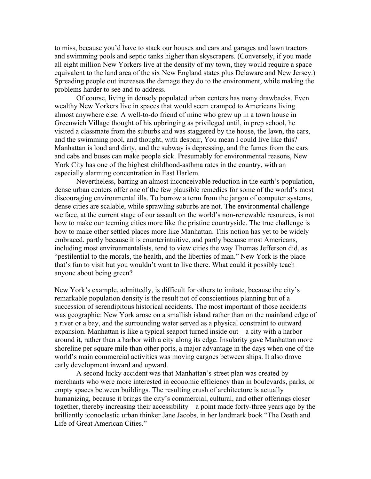to miss, because you'd have to stack our houses and cars and garages and lawn tractors and swimming pools and septic tanks higher than skyscrapers. (Conversely, if you made all eight million New Yorkers live at the density of my town, they would require a space equivalent to the land area of the six New England states plus Delaware and New Jersey.) Spreading people out increases the damage they do to the environment, while making the problems harder to see and to address.

Of course, living in densely populated urban centers has many drawbacks. Even wealthy New Yorkers live in spaces that would seem cramped to Americans living almost anywhere else. A well-to-do friend of mine who grew up in a town house in Greenwich Village thought of his upbringing as privileged until, in prep school, he visited a classmate from the suburbs and was staggered by the house, the lawn, the cars, and the swimming pool, and thought, with despair, You mean I could live like this? Manhattan is loud and dirty, and the subway is depressing, and the fumes from the cars and cabs and buses can make people sick. Presumably for environmental reasons, New York City has one of the highest childhood-asthma rates in the country, with an especially alarming concentration in East Harlem.

Nevertheless, barring an almost inconceivable reduction in the earth's population, dense urban centers offer one of the few plausible remedies for some of the world's most discouraging environmental ills. To borrow a term from the jargon of computer systems, dense cities are scalable, while sprawling suburbs are not. The environmental challenge we face, at the current stage of our assault on the world's non-renewable resources, is not how to make our teeming cities more like the pristine countryside. The true challenge is how to make other settled places more like Manhattan. This notion has yet to be widely embraced, partly because it is counterintuitive, and partly because most Americans, including most environmentalists, tend to view cities the way Thomas Jefferson did, as "pestilential to the morals, the health, and the liberties of man." New York is the place that's fun to visit but you wouldn't want to live there. What could it possibly teach anyone about being green?

New York's example, admittedly, is difficult for others to imitate, because the city's remarkable population density is the result not of conscientious planning but of a succession of serendipitous historical accidents. The most important of those accidents was geographic: New York arose on a smallish island rather than on the mainland edge of a river or a bay, and the surrounding water served as a physical constraint to outward expansion. Manhattan is like a typical seaport turned inside out—a city with a harbor around it, rather than a harbor with a city along its edge. Insularity gave Manhattan more shoreline per square mile than other ports, a major advantage in the days when one of the world's main commercial activities was moving cargoes between ships. It also drove early development inward and upward.

A second lucky accident was that Manhattan's street plan was created by merchants who were more interested in economic efficiency than in boulevards, parks, or empty spaces between buildings. The resulting crush of architecture is actually humanizing, because it brings the city's commercial, cultural, and other offerings closer together, thereby increasing their accessibility—a point made forty-three years ago by the brilliantly iconoclastic urban thinker Jane Jacobs, in her landmark book "The Death and Life of Great American Cities."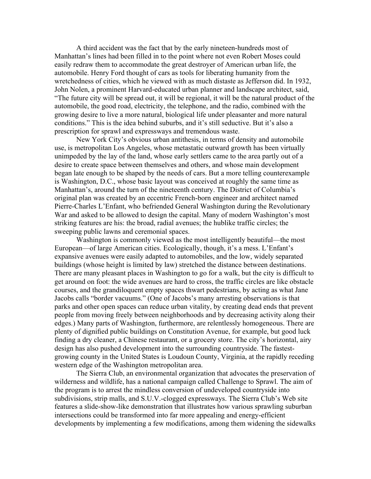A third accident was the fact that by the early nineteen-hundreds most of Manhattan's lines had been filled in to the point where not even Robert Moses could easily redraw them to accommodate the great destroyer of American urban life, the automobile. Henry Ford thought of cars as tools for liberating humanity from the wretchedness of cities, which he viewed with as much distaste as Jefferson did. In 1932, John Nolen, a prominent Harvard-educated urban planner and landscape architect, said, "The future city will be spread out, it will be regional, it will be the natural product of the automobile, the good road, electricity, the telephone, and the radio, combined with the growing desire to live a more natural, biological life under pleasanter and more natural conditions." This is the idea behind suburbs, and it's still seductive. But it's also a prescription for sprawl and expressways and tremendous waste.

New York City's obvious urban antithesis, in terms of density and automobile use, is metropolitan Los Angeles, whose metastatic outward growth has been virtually unimpeded by the lay of the land, whose early settlers came to the area partly out of a desire to create space between themselves and others, and whose main development began late enough to be shaped by the needs of cars. But a more telling counterexample is Washington, D.C., whose basic layout was conceived at roughly the same time as Manhattan's, around the turn of the nineteenth century. The District of Columbia's original plan was created by an eccentric French-born engineer and architect named Pierre-Charles L'Enfant, who befriended General Washington during the Revolutionary War and asked to be allowed to design the capital. Many of modern Washington's most striking features are his: the broad, radial avenues; the hublike traffic circles; the sweeping public lawns and ceremonial spaces.

Washington is commonly viewed as the most intelligently beautiful—the most European—of large American cities. Ecologically, though, it's a mess. L'Enfant's expansive avenues were easily adapted to automobiles, and the low, widely separated buildings (whose height is limited by law) stretched the distance between destinations. There are many pleasant places in Washington to go for a walk, but the city is difficult to get around on foot: the wide avenues are hard to cross, the traffic circles are like obstacle courses, and the grandiloquent empty spaces thwart pedestrians, by acting as what Jane Jacobs calls "border vacuums." (One of Jacobs's many arresting observations is that parks and other open spaces can reduce urban vitality, by creating dead ends that prevent people from moving freely between neighborhoods and by decreasing activity along their edges.) Many parts of Washington, furthermore, are relentlessly homogeneous. There are plenty of dignified public buildings on Constitution Avenue, for example, but good luck finding a dry cleaner, a Chinese restaurant, or a grocery store. The city's horizontal, airy design has also pushed development into the surrounding countryside. The fastestgrowing county in the United States is Loudoun County, Virginia, at the rapidly receding western edge of the Washington metropolitan area.

The Sierra Club, an environmental organization that advocates the preservation of wilderness and wildlife, has a national campaign called Challenge to Sprawl. The aim of the program is to arrest the mindless conversion of undeveloped countryside into subdivisions, strip malls, and S.U.V.-clogged expressways. The Sierra Club's Web site features a slide-show-like demonstration that illustrates how various sprawling suburban intersections could be transformed into far more appealing and energy-efficient developments by implementing a few modifications, among them widening the sidewalks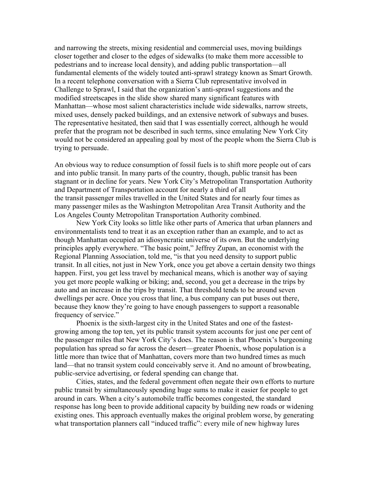and narrowing the streets, mixing residential and commercial uses, moving buildings closer together and closer to the edges of sidewalks (to make them more accessible to pedestrians and to increase local density), and adding public transportation—all fundamental elements of the widely touted anti-sprawl strategy known as Smart Growth. In a recent telephone conversation with a Sierra Club representative involved in Challenge to Sprawl, I said that the organization's anti-sprawl suggestions and the modified streetscapes in the slide show shared many significant features with Manhattan—whose most salient characteristics include wide sidewalks, narrow streets, mixed uses, densely packed buildings, and an extensive network of subways and buses. The representative hesitated, then said that I was essentially correct, although he would prefer that the program not be described in such terms, since emulating New York City would not be considered an appealing goal by most of the people whom the Sierra Club is trying to persuade.

An obvious way to reduce consumption of fossil fuels is to shift more people out of cars and into public transit. In many parts of the country, though, public transit has been stagnant or in decline for years. New York City's Metropolitan Transportation Authority and Department of Transportation account for nearly a third of all the transit passenger miles travelled in the United States and for nearly four times as many passenger miles as the Washington Metropolitan Area Transit Authority and the Los Angeles County Metropolitan Transportation Authority combined.

New York City looks so little like other parts of America that urban planners and environmentalists tend to treat it as an exception rather than an example, and to act as though Manhattan occupied an idiosyncratic universe of its own. But the underlying principles apply everywhere. "The basic point," Jeffrey Zupan, an economist with the Regional Planning Association, told me, "is that you need density to support public transit. In all cities, not just in New York, once you get above a certain density two things happen. First, you get less travel by mechanical means, which is another way of saying you get more people walking or biking; and, second, you get a decrease in the trips by auto and an increase in the trips by transit. That threshold tends to be around seven dwellings per acre. Once you cross that line, a bus company can put buses out there, because they know they're going to have enough passengers to support a reasonable frequency of service."

Phoenix is the sixth-largest city in the United States and one of the fastestgrowing among the top ten, yet its public transit system accounts for just one per cent of the passenger miles that New York City's does. The reason is that Phoenix's burgeoning population has spread so far across the desert—greater Phoenix, whose population is a little more than twice that of Manhattan, covers more than two hundred times as much land—that no transit system could conceivably serve it. And no amount of browbeating, public-service advertising, or federal spending can change that.

Cities, states, and the federal government often negate their own efforts to nurture public transit by simultaneously spending huge sums to make it easier for people to get around in cars. When a city's automobile traffic becomes congested, the standard response has long been to provide additional capacity by building new roads or widening existing ones. This approach eventually makes the original problem worse, by generating what transportation planners call "induced traffic": every mile of new highway lures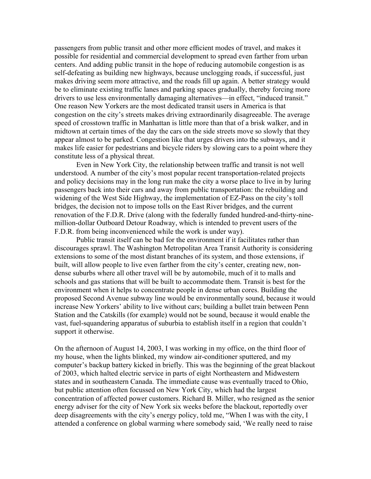passengers from public transit and other more efficient modes of travel, and makes it possible for residential and commercial development to spread even farther from urban centers. And adding public transit in the hope of reducing automobile congestion is as self-defeating as building new highways, because unclogging roads, if successful, just makes driving seem more attractive, and the roads fill up again. A better strategy would be to eliminate existing traffic lanes and parking spaces gradually, thereby forcing more drivers to use less environmentally damaging alternatives—in effect, "induced transit." One reason New Yorkers are the most dedicated transit users in America is that congestion on the city's streets makes driving extraordinarily disagreeable. The average speed of crosstown traffic in Manhattan is little more than that of a brisk walker, and in midtown at certain times of the day the cars on the side streets move so slowly that they appear almost to be parked. Congestion like that urges drivers into the subways, and it makes life easier for pedestrians and bicycle riders by slowing cars to a point where they constitute less of a physical threat.

Even in New York City, the relationship between traffic and transit is not well understood. A number of the city's most popular recent transportation-related projects and policy decisions may in the long run make the city a worse place to live in by luring passengers back into their cars and away from public transportation: the rebuilding and widening of the West Side Highway, the implementation of EZ-Pass on the city's toll bridges, the decision not to impose tolls on the East River bridges, and the current renovation of the F.D.R. Drive (along with the federally funded hundred-and-thirty-ninemillion-dollar Outboard Detour Roadway, which is intended to prevent users of the F.D.R. from being inconvenienced while the work is under way).

Public transit itself can be bad for the environment if it facilitates rather than discourages sprawl. The Washington Metropolitan Area Transit Authority is considering extensions to some of the most distant branches of its system, and those extensions, if built, will allow people to live even farther from the city's center, creating new, nondense suburbs where all other travel will be by automobile, much of it to malls and schools and gas stations that will be built to accommodate them. Transit is best for the environment when it helps to concentrate people in dense urban cores. Building the proposed Second Avenue subway line would be environmentally sound, because it would increase New Yorkers' ability to live without cars; building a bullet train between Penn Station and the Catskills (for example) would not be sound, because it would enable the vast, fuel-squandering apparatus of suburbia to establish itself in a region that couldn't support it otherwise.

On the afternoon of August 14, 2003, I was working in my office, on the third floor of my house, when the lights blinked, my window air-conditioner sputtered, and my computer's backup battery kicked in briefly. This was the beginning of the great blackout of 2003, which halted electric service in parts of eight Northeastern and Midwestern states and in southeastern Canada. The immediate cause was eventually traced to Ohio, but public attention often focussed on New York City, which had the largest concentration of affected power customers. Richard B. Miller, who resigned as the senior energy adviser for the city of New York six weeks before the blackout, reportedly over deep disagreements with the city's energy policy, told me, "When I was with the city, I attended a conference on global warming where somebody said, 'We really need to raise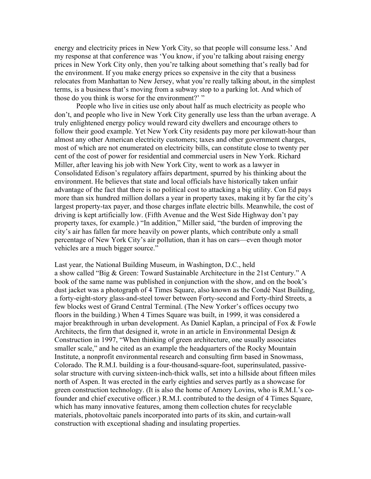energy and electricity prices in New York City, so that people will consume less.' And my response at that conference was 'You know, if you're talking about raising energy prices in New York City only, then you're talking about something that's really bad for the environment. If you make energy prices so expensive in the city that a business relocates from Manhattan to New Jersey, what you're really talking about, in the simplest terms, is a business that's moving from a subway stop to a parking lot. And which of those do you think is worse for the environment?' "

People who live in cities use only about half as much electricity as people who don't, and people who live in New York City generally use less than the urban average. A truly enlightened energy policy would reward city dwellers and encourage others to follow their good example. Yet New York City residents pay more per kilowatt-hour than almost any other American electricity customers; taxes and other government charges, most of which are not enumerated on electricity bills, can constitute close to twenty per cent of the cost of power for residential and commercial users in New York. Richard Miller, after leaving his job with New York City, went to work as a lawyer in Consolidated Edison's regulatory affairs department, spurred by his thinking about the environment. He believes that state and local officials have historically taken unfair advantage of the fact that there is no political cost to attacking a big utility. Con Ed pays more than six hundred million dollars a year in property taxes, making it by far the city's largest property-tax payer, and those charges inflate electric bills. Meanwhile, the cost of driving is kept artificially low. (Fifth Avenue and the West Side Highway don't pay property taxes, for example.) "In addition," Miller said, "the burden of improving the city's air has fallen far more heavily on power plants, which contribute only a small percentage of New York City's air pollution, than it has on cars—even though motor vehicles are a much bigger source."

Last year, the National Building Museum, in Washington, D.C., held a show called "Big & Green: Toward Sustainable Architecture in the 21st Century." A book of the same name was published in conjunction with the show, and on the book's dust jacket was a photograph of 4 Times Square, also known as the Condé Nast Building, a forty-eight-story glass-and-steel tower between Forty-second and Forty-third Streets, a few blocks west of Grand Central Terminal. (The New Yorker's offices occupy two floors in the building.) When 4 Times Square was built, in 1999, it was considered a major breakthrough in urban development. As Daniel Kaplan, a principal of Fox & Fowle Architects, the firm that designed it, wrote in an article in Environmental Design  $\&$ Construction in 1997, "When thinking of green architecture, one usually associates smaller scale," and he cited as an example the headquarters of the Rocky Mountain Institute, a nonprofit environmental research and consulting firm based in Snowmass, Colorado. The R.M.I. building is a four-thousand-square-foot, superinsulated, passivesolar structure with curving sixteen-inch-thick walls, set into a hillside about fifteen miles north of Aspen. It was erected in the early eighties and serves partly as a showcase for green construction technology. (It is also the home of Amory Lovins, who is R.M.I.'s cofounder and chief executive officer.) R.M.I. contributed to the design of 4 Times Square, which has many innovative features, among them collection chutes for recyclable materials, photovoltaic panels incorporated into parts of its skin, and curtain-wall construction with exceptional shading and insulating properties.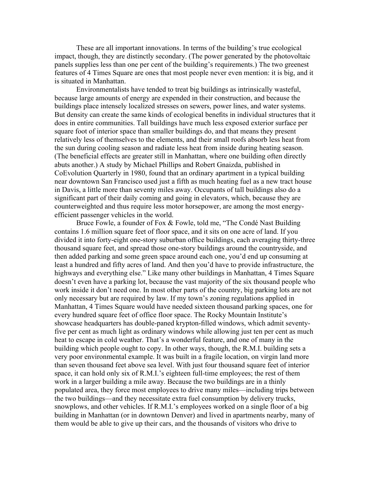These are all important innovations. In terms of the building's true ecological impact, though, they are distinctly secondary. (The power generated by the photovoltaic panels supplies less than one per cent of the building's requirements.) The two greenest features of 4 Times Square are ones that most people never even mention: it is big, and it is situated in Manhattan.

Environmentalists have tended to treat big buildings as intrinsically wasteful, because large amounts of energy are expended in their construction, and because the buildings place intensely localized stresses on sewers, power lines, and water systems. But density can create the same kinds of ecological benefits in individual structures that it does in entire communities. Tall buildings have much less exposed exterior surface per square foot of interior space than smaller buildings do, and that means they present relatively less of themselves to the elements, and their small roofs absorb less heat from the sun during cooling season and radiate less heat from inside during heating season. (The beneficial effects are greater still in Manhattan, where one building often directly abuts another.) A study by Michael Phillips and Robert Gnaizda, published in CoEvolution Quarterly in 1980, found that an ordinary apartment in a typical building near downtown San Francisco used just a fifth as much heating fuel as a new tract house in Davis, a little more than seventy miles away. Occupants of tall buildings also do a significant part of their daily coming and going in elevators, which, because they are counterweighted and thus require less motor horsepower, are among the most energyefficient passenger vehicles in the world.

Bruce Fowle, a founder of Fox & Fowle, told me, "The Condé Nast Building contains 1.6 million square feet of floor space, and it sits on one acre of land. If you divided it into forty-eight one-story suburban office buildings, each averaging thirty-three thousand square feet, and spread those one-story buildings around the countryside, and then added parking and some green space around each one, you'd end up consuming at least a hundred and fifty acres of land. And then you'd have to provide infrastructure, the highways and everything else." Like many other buildings in Manhattan, 4 Times Square doesn't even have a parking lot, because the vast majority of the six thousand people who work inside it don't need one. In most other parts of the country, big parking lots are not only necessary but are required by law. If my town's zoning regulations applied in Manhattan, 4 Times Square would have needed sixteen thousand parking spaces, one for every hundred square feet of office floor space. The Rocky Mountain Institute's showcase headquarters has double-paned krypton-filled windows, which admit seventyfive per cent as much light as ordinary windows while allowing just ten per cent as much heat to escape in cold weather. That's a wonderful feature, and one of many in the building which people ought to copy. In other ways, though, the R.M.I. building sets a very poor environmental example. It was built in a fragile location, on virgin land more than seven thousand feet above sea level. With just four thousand square feet of interior space, it can hold only six of R.M.I.'s eighteen full-time employees; the rest of them work in a larger building a mile away. Because the two buildings are in a thinly populated area, they force most employees to drive many miles—including trips between the two buildings—and they necessitate extra fuel consumption by delivery trucks, snowplows, and other vehicles. If R.M.I.'s employees worked on a single floor of a big building in Manhattan (or in downtown Denver) and lived in apartments nearby, many of them would be able to give up their cars, and the thousands of visitors who drive to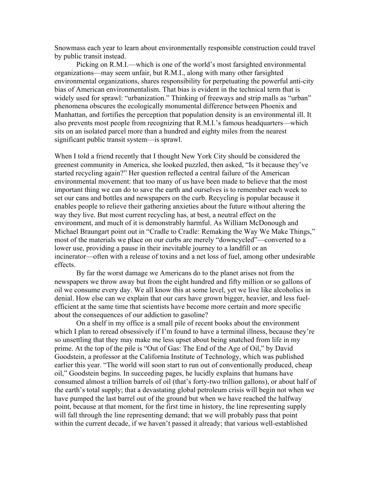Snowmass each year to learn about environmentally responsible construction could travel by public transit instead.

Picking on R.M.I.—which is one of the world's most farsighted environmental organizations—may seem unfair, but R.M.I., along with many other farsighted environmental organizations, shares responsibility for perpetuating the powerful anti-city bias of American environmentalism. That bias is evident in the technical term that is widely used for sprawl: "urbanization." Thinking of freeways and strip malls as "urban" phenomena obscures the ecologically monumental difference between Phoenix and Manhattan, and fortifies the perception that population density is an environmental ill. It also prevents most people from recognizing that R.M.I.'s famous headquarters—which sits on an isolated parcel more than a hundred and eighty miles from the nearest significant public transit system—is sprawl.

When I told a friend recently that I thought New York City should be considered the greenest community in America, she looked puzzled, then asked, "Is it because they've started recycling again?" Her question reflected a central failure of the American environmental movement: that too many of us have been made to believe that the most important thing we can do to save the earth and ourselves is to remember each week to set our cans and bottles and newspapers on the curb. Recycling is popular because it enables people to relieve their gathering anxieties about the future without altering the way they live. But most current recycling has, at best, a neutral effect on the environment, and much of it is demonstrably harmful. As William McDonough and Michael Braungart point out in "Cradle to Cradle: Remaking the Way We Make Things," most of the materials we place on our curbs are merely "downcycled"—converted to a lower use, providing a pause in their inevitable journey to a landfill or an incinerator—often with a release of toxins and a net loss of fuel, among other undesirable effects.

By far the worst damage we Americans do to the planet arises not from the newspapers we throw away but from the eight hundred and fifty million or so gallons of oil we consume every day. We all know this at some level, yet we live like alcoholics in denial. How else can we explain that our cars have grown bigger, heavier, and less fuelefficient at the same time that scientists have become more certain and more specific about the consequences of our addiction to gasoline?

On a shelf in my office is a small pile of recent books about the environment which I plan to reread obsessively if I'm found to have a terminal illness, because they're so unsettling that they may make me less upset about being snatched from life in my prime. At the top of the pile is "Out of Gas: The End of the Age of Oil," by David Goodstein, a professor at the California Institute of Technology, which was published earlier this year. "The world will soon start to run out of conventionally produced, cheap oil," Goodstein begins. In succeeding pages, he lucidly explains that humans have consumed almost a trillion barrels of oil (that's forty-two trillion gallons), or about half of the earth's total supply; that a devastating global petroleum crisis will begin not when we have pumped the last barrel out of the ground but when we have reached the halfway point, because at that moment, for the first time in history, the line representing supply will fall through the line representing demand; that we will probably pass that point within the current decade, if we haven't passed it already; that various well-established